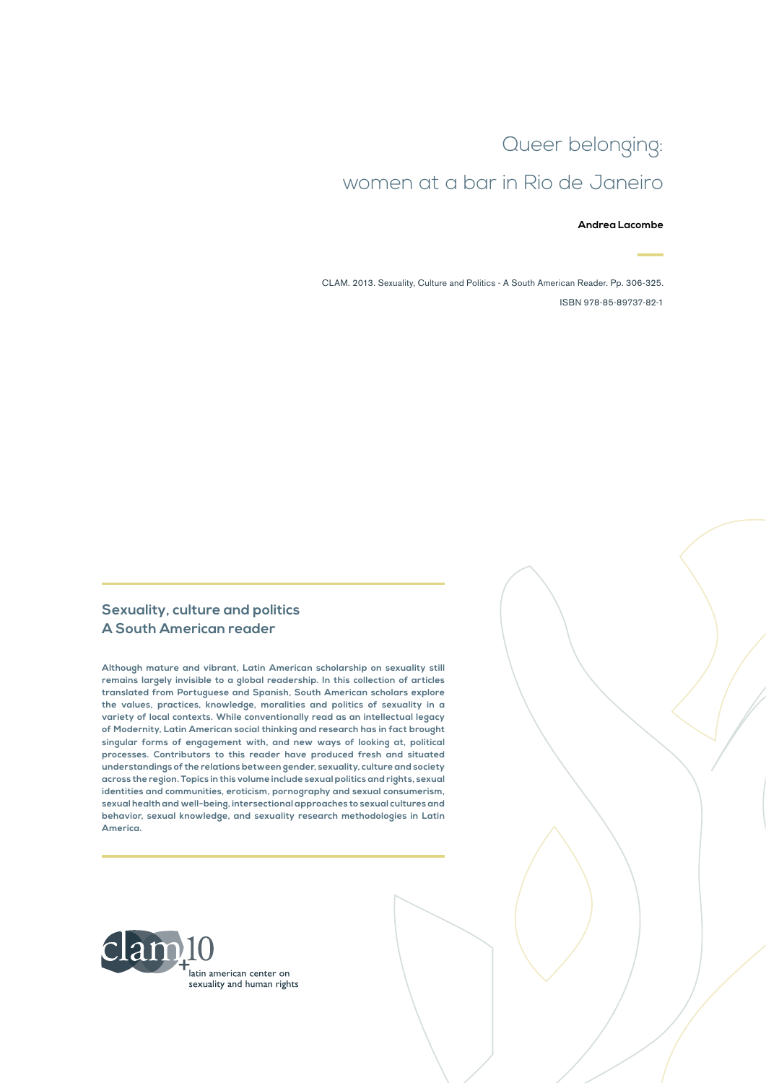# Queer belonging: women at a bar in Rio de Janeiro

#### **Andrea Lacombe**

CLAM. 2013. Sexuality, Culture and Politics - A South American Reader. Pp. 306-325. ISBN 978-85-89737-82-1

#### **Sexuality, culture and politics A South American reader**

**Although mature and vibrant, Latin American scholarship on sexuality still remains largely invisible to a global readership. In this collection of articles translated from Portuguese and Spanish, South American scholars explore the values, practices, knowledge, moralities and politics of sexuality in a variety of local contexts. While conventionally read as an intellectual legacy of Modernity, Latin American social thinking and research has in fact brought singular forms of engagement with, and new ways of looking at, political processes. Contributors to this reader have produced fresh and situated understandings of the relations between gender, sexuality, culture and society across the region. Topics in this volume include sexual politics and rights, sexual identities and communities, eroticism, pornography and sexual consumerism, sexual health and well-being, intersectional approaches to sexual cultures and behavior, sexual knowledge, and sexuality research methodologies in Latin America.**

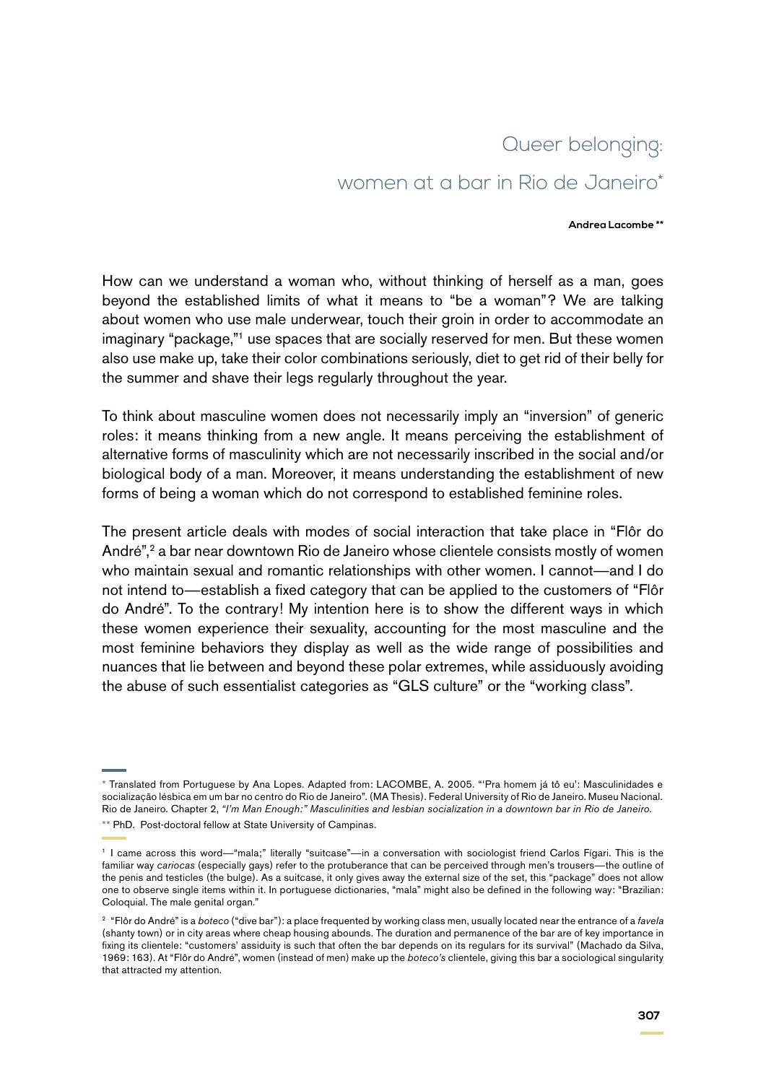# Queer belonging: women at a bar in Rio de Janeiro\*

#### **Andrea Lacombe \*\***

How can we understand a woman who, without thinking of herself as a man, goes beyond the established limits of what it means to "be a woman"? We are talking about women who use male underwear, touch their groin in order to accommodate an imaginary "package,"1 use spaces that are socially reserved for men. But these women also use make up, take their color combinations seriously, diet to get rid of their belly for the summer and shave their legs regularly throughout the year.

To think about masculine women does not necessarily imply an "inversion" of generic roles: it means thinking from a new angle. It means perceiving the establishment of alternative forms of masculinity which are not necessarily inscribed in the social and/or biological body of a man. Moreover, it means understanding the establishment of new forms of being a woman which do not correspond to established feminine roles.

The present article deals with modes of social interaction that take place in "Flôr do André",<sup>2</sup> a bar near downtown Rio de Janeiro whose clientele consists mostly of women who maintain sexual and romantic relationships with other women. I cannot—and I do not intend to—establish a fixed category that can be applied to the customers of "Flôr do André". To the contrary! My intention here is to show the different ways in which these women experience their sexuality, accounting for the most masculine and the most feminine behaviors they display as well as the wide range of possibilities and nuances that lie between and beyond these polar extremes, while assiduously avoiding the abuse of such essentialist categories as "GLS culture" or the "working class".

<sup>\*</sup> Translated from Portuguese by Ana Lopes. Adapted from: LACOMBE, A. 2005. "'Pra homem já tô eu': Masculinidades e socialização lésbica em um bar no centro do Rio de Janeiro". (MA Thesis). Federal University of Rio de Janeiro. Museu Nacional. Rio de Janeiro. Chapter 2, *"I'm Man Enough:" Masculinities and lesbian socialization in a downtown bar in Rio de Janeiro.* \*\* PhD. Post-doctoral fellow at State University of Campinas.

<sup>1</sup> I came across this word—"mala;" literally "suitcase"—in a conversation with sociologist friend Carlos Fígari. This is the familiar way *cariocas* (especially gays) refer to the protuberance that can be perceived through men's trousers—the outline of the penis and testicles (the bulge). As a suitcase, it only gives away the external size of the set, this "package" does not allow one to observe single items within it. In portuguese dictionaries, "mala" might also be defined in the following way: "Brazilian: Coloquial. The male genital organ."

<sup>2</sup> "Flôr do André" is a *boteco* ("dive bar"): a place frequented by working class men, usually located near the entrance of a *favela* (shanty town) or in city areas where cheap housing abounds. The duration and permanence of the bar are of key importance in fixing its clientele: "customers' assiduity is such that often the bar depends on its regulars for its survival" (Machado da Silva, 1969: 163). At "Flôr do André", women (instead of men) make up the *boteco's* clientele, giving this bar a sociological singularity that attracted my attention.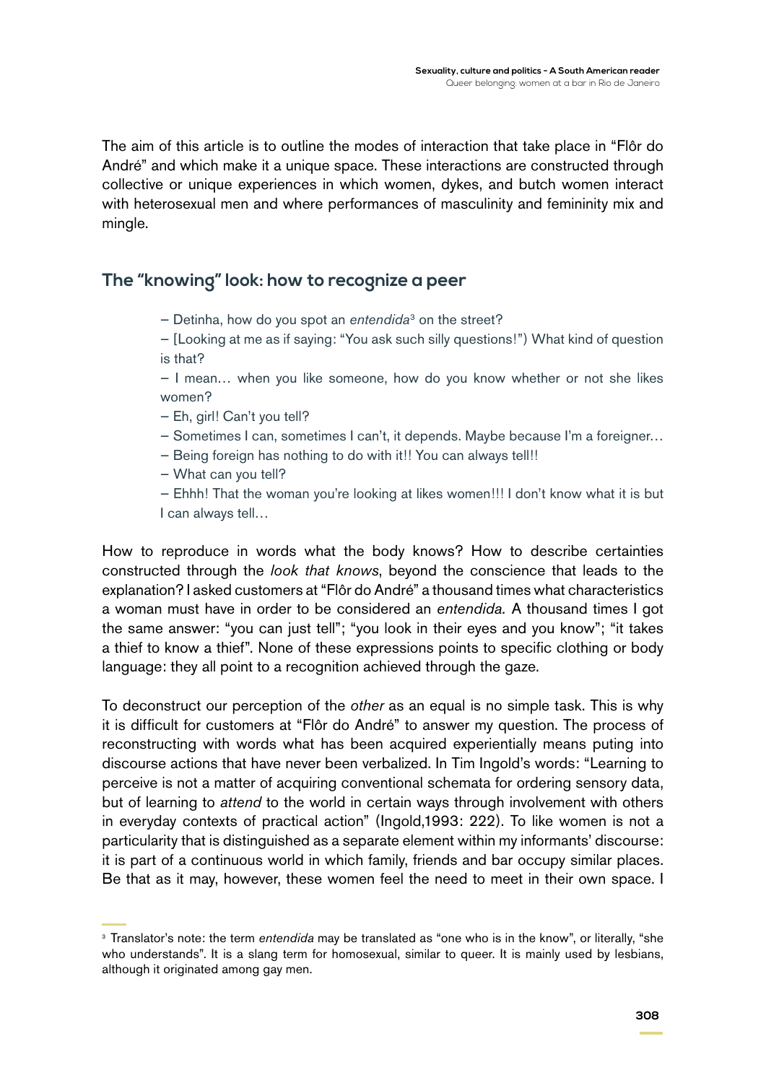The aim of this article is to outline the modes of interaction that take place in "Flôr do André" and which make it a unique space. These interactions are constructed through collective or unique experiences in which women, dykes, and butch women interact with heterosexual men and where performances of masculinity and femininity mix and mingle.

### **The "knowing" look: how to recognize a peer**

- Detinha, how do you spot an *entendida*<sup>3</sup> on the street?
- [Looking at me as if saying: "You ask such silly questions!") What kind of question is that?

— I mean… when you like someone, how do you know whether or not she likes women?

- Eh, girl! Can't you tell?
- Sometimes I can, sometimes I can't, it depends. Maybe because I'm a foreigner…
- Being foreign has nothing to do with it!! You can always tell!!
- What can you tell?

— Ehhh! That the woman you're looking at likes women!!! I don't know what it is but I can always tell…

How to reproduce in words what the body knows? How to describe certainties constructed through the *look that knows*, beyond the conscience that leads to the explanation? I asked customers at "Flôr do André" a thousand times what characteristics a woman must have in order to be considered an *entendida.* A thousand times I got the same answer: "you can just tell"; "you look in their eyes and you know"; "it takes a thief to know a thief". None of these expressions points to specific clothing or body language: they all point to a recognition achieved through the gaze.

To deconstruct our perception of the *other* as an equal is no simple task. This is why it is difficult for customers at "Flôr do André" to answer my question. The process of reconstructing with words what has been acquired experientially means puting into discourse actions that have never been verbalized. In Tim Ingold's words: "Learning to perceive is not a matter of acquiring conventional schemata for ordering sensory data, but of learning to *attend* to the world in certain ways through involvement with others in everyday contexts of practical action" (Ingold,1993: 222). To like women is not a particularity that is distinguished as a separate element within my informants' discourse: it is part of a continuous world in which family, friends and bar occupy similar places. Be that as it may, however, these women feel the need to meet in their own space. I

<sup>&</sup>lt;sup>3</sup> Translator's note: the term *entendida* may be translated as "one who is in the know", or literally, "she who understands". It is a slang term for homosexual, similar to queer. It is mainly used by lesbians, although it originated among gay men.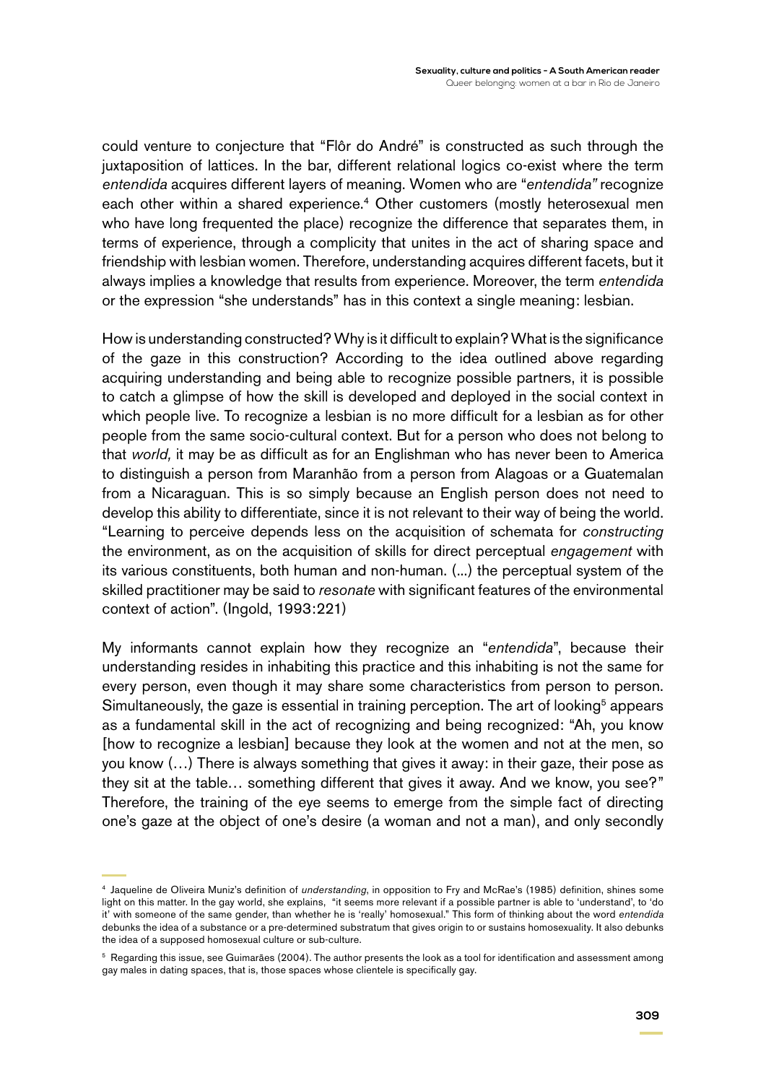could venture to conjecture that "Flôr do André" is constructed as such through the juxtaposition of lattices. In the bar, different relational logics co-exist where the term *entendida* acquires different layers of meaning. Women who are "*entendida"* recognize each other within a shared experience.<sup>4</sup> Other customers (mostly heterosexual men who have long frequented the place) recognize the difference that separates them, in terms of experience, through a complicity that unites in the act of sharing space and friendship with lesbian women. Therefore, understanding acquires different facets, but it always implies a knowledge that results from experience. Moreover, the term *entendida* or the expression "she understands" has in this context a single meaning: lesbian.

How is understanding constructed? Why is it difficult to explain? What is the significance of the gaze in this construction? According to the idea outlined above regarding acquiring understanding and being able to recognize possible partners, it is possible to catch a glimpse of how the skill is developed and deployed in the social context in which people live. To recognize a lesbian is no more difficult for a lesbian as for other people from the same socio-cultural context. But for a person who does not belong to that *world,* it may be as difficult as for an Englishman who has never been to America to distinguish a person from Maranhão from a person from Alagoas or a Guatemalan from a Nicaraguan. This is so simply because an English person does not need to develop this ability to differentiate, since it is not relevant to their way of being the world. "Learning to perceive depends less on the acquisition of schemata for *constructing* the environment, as on the acquisition of skills for direct perceptual *engagement* with its various constituents, both human and non-human. (...) the perceptual system of the skilled practitioner may be said to *resonate* with significant features of the environmental context of action". (Ingold, 1993:221)

My informants cannot explain how they recognize an "*entendida*", because their understanding resides in inhabiting this practice and this inhabiting is not the same for every person, even though it may share some characteristics from person to person. Simultaneously, the gaze is essential in training perception. The art of looking<sup>5</sup> appears as a fundamental skill in the act of recognizing and being recognized: "Ah, you know [how to recognize a lesbian] because they look at the women and not at the men, so you know (…) There is always something that gives it away: in their gaze, their pose as they sit at the table… something different that gives it away. And we know, you see?" Therefore, the training of the eye seems to emerge from the simple fact of directing one's gaze at the object of one's desire (a woman and not a man), and only secondly

<sup>4</sup> Jaqueline de Oliveira Muniz's definition of *understanding*, in opposition to Fry and McRae's (1985) definition, shines some light on this matter. In the gay world, she explains, "it seems more relevant if a possible partner is able to 'understand', to 'do it' with someone of the same gender, than whether he is 'really' homosexual." This form of thinking about the word *entendida* debunks the idea of a substance or a pre-determined substratum that gives origin to or sustains homosexuality. It also debunks the idea of a supposed homosexual culture or sub-culture.

<sup>&</sup>lt;sup>5</sup> Regarding this issue, see Guimarães (2004). The author presents the look as a tool for identification and assessment among gay males in dating spaces, that is, those spaces whose clientele is specifically gay.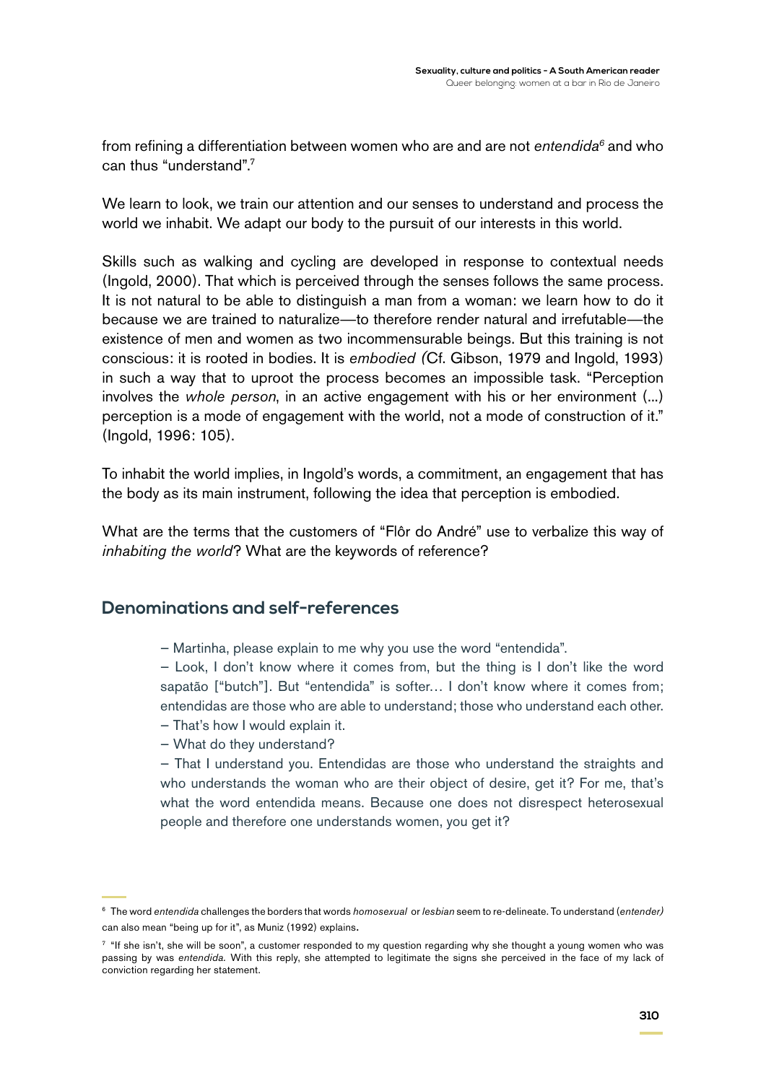from refining a differentiation between women who are and are not *entendida6* and who can thus "understand".7

We learn to look, we train our attention and our senses to understand and process the world we inhabit. We adapt our body to the pursuit of our interests in this world.

Skills such as walking and cycling are developed in response to contextual needs (Ingold, 2000). That which is perceived through the senses follows the same process. It is not natural to be able to distinguish a man from a woman: we learn how to do it because we are trained to naturalize—to therefore render natural and irrefutable—the existence of men and women as two incommensurable beings. But this training is not conscious: it is rooted in bodies. It is *embodied (*Cf. Gibson, 1979 and Ingold, 1993) in such a way that to uproot the process becomes an impossible task. "Perception involves the *whole person*, in an active engagement with his or her environment (...) perception is a mode of engagement with the world, not a mode of construction of it." (Ingold, 1996: 105).

To inhabit the world implies, in Ingold's words, a commitment, an engagement that has the body as its main instrument, following the idea that perception is embodied.

What are the terms that the customers of "Flôr do André" use to verbalize this way of *inhabiting the world*? What are the keywords of reference?

#### **Denominations and self-references**

— Martinha, please explain to me why you use the word "entendida".

— Look, I don't know where it comes from, but the thing is I don't like the word sapatão ["butch"]. But "entendida" is softer… I don't know where it comes from; entendidas are those who are able to understand; those who understand each other.

- That's how I would explain it.
- What do they understand?

— That I understand you. Entendidas are those who understand the straights and who understands the woman who are their object of desire, get it? For me, that's what the word entendida means. Because one does not disrespect heterosexual people and therefore one understands women, you get it?

<sup>6</sup> The word *entendida* challenges the borders that words *homosexual* or *lesbian* seem to re-delineate. To understand (*entender)*  can also mean "being up for it", as Muniz (1992) explains.

<sup>&</sup>lt;sup>7</sup> "If she isn't, she will be soon", a customer responded to my question regarding why she thought a young women who was passing by was *entendida.* With this reply, she attempted to legitimate the signs she perceived in the face of my lack of conviction regarding her statement.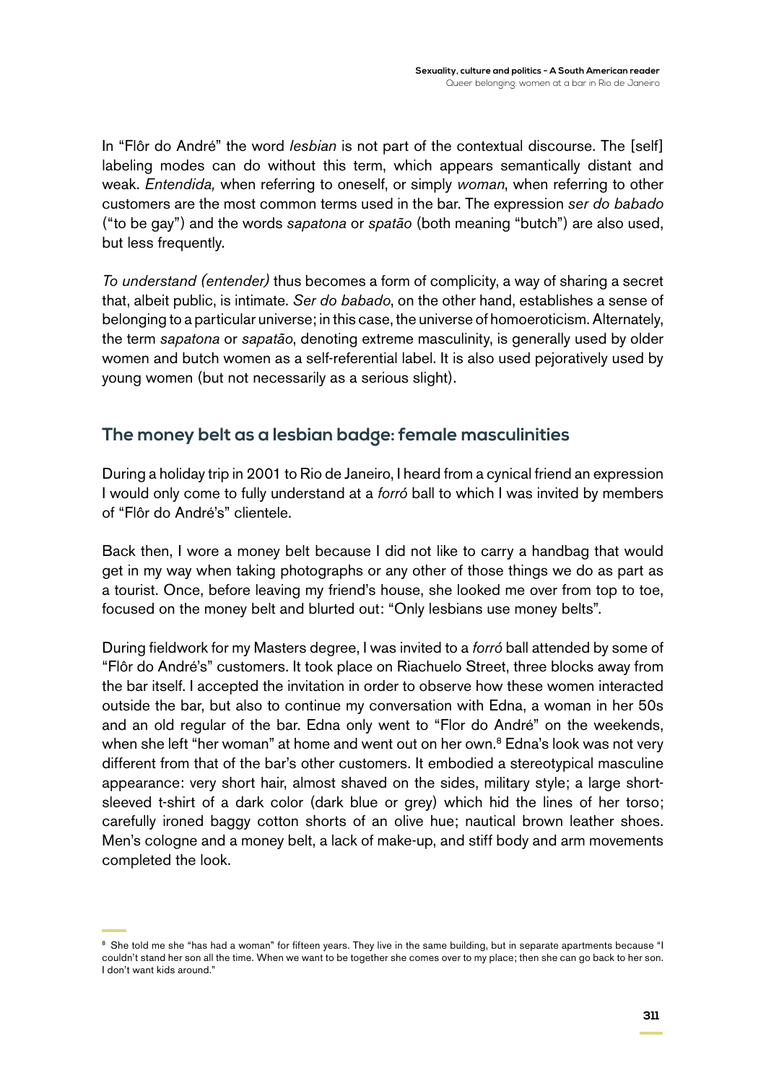In "Flôr do André" the word *lesbian* is not part of the contextual discourse. The [self] labeling modes can do without this term, which appears semantically distant and weak. *Entendida,* when referring to oneself, or simply *woman*, when referring to other customers are the most common terms used in the bar. The expression *ser do babado*  ("to be gay") and the words *sapatona* or *spatão* (both meaning "butch") are also used, but less frequently.

*To understand (entender)* thus becomes a form of complicity, a way of sharing a secret that, albeit public, is intimate. *Ser do babado*, on the other hand, establishes a sense of belonging to a particular universe; in this case, the universe of homoeroticism. Alternately, the term *sapatona* or *sapatão*, denoting extreme masculinity, is generally used by older women and butch women as a self-referential label. It is also used pejoratively used by young women (but not necessarily as a serious slight).

# **The money belt as a lesbian badge: female masculinities**

During a holiday trip in 2001 to Rio de Janeiro, I heard from a cynical friend an expression I would only come to fully understand at a *forró* ball to which I was invited by members of "Flôr do André's" clientele.

Back then, I wore a money belt because I did not like to carry a handbag that would get in my way when taking photographs or any other of those things we do as part as a tourist. Once, before leaving my friend's house, she looked me over from top to toe, focused on the money belt and blurted out: "Only lesbians use money belts".

During fieldwork for my Masters degree, I was invited to a *forró* ball attended by some of "Flôr do André's" customers. It took place on Riachuelo Street, three blocks away from the bar itself. I accepted the invitation in order to observe how these women interacted outside the bar, but also to continue my conversation with Edna, a woman in her 50s and an old regular of the bar. Edna only went to "Flor do André" on the weekends, when she left "her woman" at home and went out on her own.<sup>8</sup> Edna's look was not very different from that of the bar's other customers. It embodied a stereotypical masculine appearance: very short hair, almost shaved on the sides, military style; a large shortsleeved t-shirt of a dark color (dark blue or grey) which hid the lines of her torso; carefully ironed baggy cotton shorts of an olive hue; nautical brown leather shoes. Men's cologne and a money belt, a lack of make-up, and stiff body and arm movements completed the look.

<sup>&</sup>lt;sup>8</sup> She told me she "has had a woman" for fifteen years. They live in the same building, but in separate apartments because "I couldn't stand her son all the time. When we want to be together she comes over to my place; then she can go back to her son. I don't want kids around."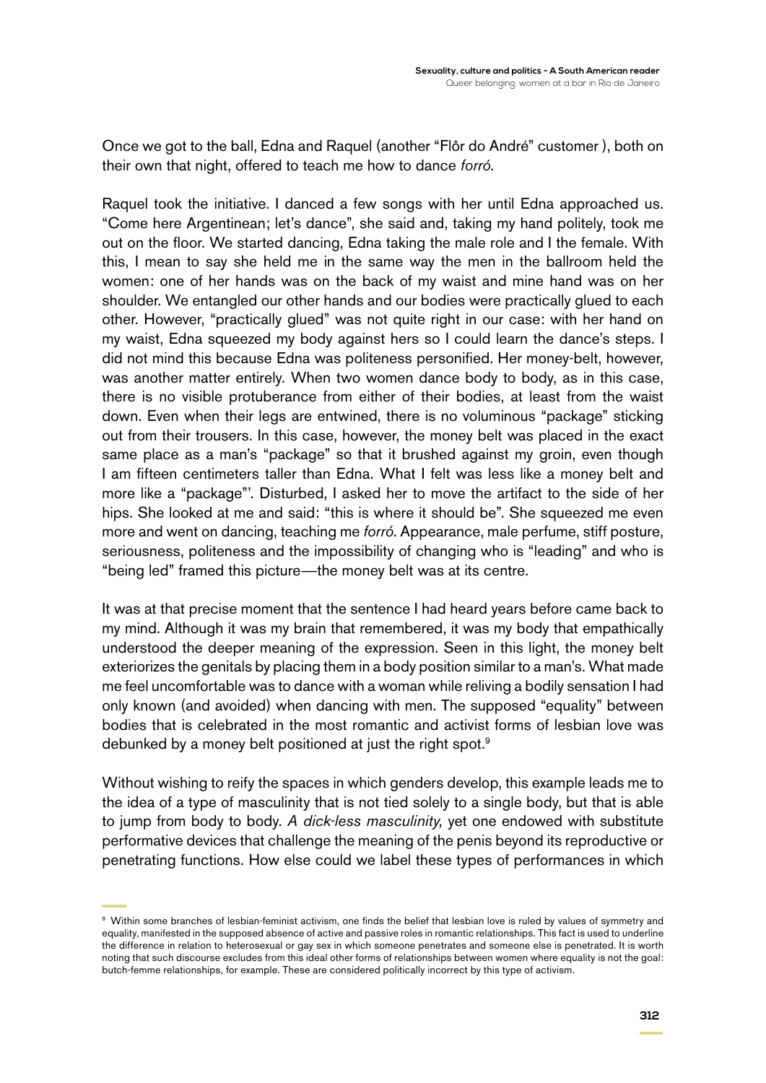Once we got to the ball, Edna and Raquel (another "Flôr do André" customer ), both on their own that night, offered to teach me how to dance *forró*.

Raquel took the initiative. I danced a few songs with her until Edna approached us. "Come here Argentinean; let's dance", she said and, taking my hand politely, took me out on the floor. We started dancing, Edna taking the male role and I the female. With this, I mean to say she held me in the same way the men in the ballroom held the women: one of her hands was on the back of my waist and mine hand was on her shoulder. We entangled our other hands and our bodies were practically glued to each other. However, "practically glued" was not quite right in our case: with her hand on my waist, Edna squeezed my body against hers so I could learn the dance's steps. I did not mind this because Edna was politeness personified. Her money-belt, however, was another matter entirely. When two women dance body to body, as in this case, there is no visible protuberance from either of their bodies, at least from the waist down. Even when their legs are entwined, there is no voluminous "package" sticking out from their trousers. In this case, however, the money belt was placed in the exact same place as a man's "package" so that it brushed against my groin, even though I am fifteen centimeters taller than Edna. What I felt was less like a money belt and more like a "package"'. Disturbed, I asked her to move the artifact to the side of her hips. She looked at me and said: "this is where it should be". She squeezed me even more and went on dancing, teaching me *forró*. Appearance, male perfume, stiff posture, seriousness, politeness and the impossibility of changing who is "leading" and who is "being led" framed this picture—the money belt was at its centre.

It was at that precise moment that the sentence I had heard years before came back to my mind. Although it was my brain that remembered, it was my body that empathically understood the deeper meaning of the expression. Seen in this light, the money belt exteriorizes the genitals by placing them in a body position similar to a man's. What made me feel uncomfortable was to dance with a woman while reliving a bodily sensation I had only known (and avoided) when dancing with men. The supposed "equality" between bodies that is celebrated in the most romantic and activist forms of lesbian love was debunked by a money belt positioned at just the right spot.<sup>9</sup>

Without wishing to reify the spaces in which genders develop, this example leads me to the idea of a type of masculinity that is not tied solely to a single body, but that is able to jump from body to body. *A dick-less masculinity,* yet one endowed with substitute performative devices that challenge the meaning of the penis beyond its reproductive or penetrating functions. How else could we label these types of performances in which

<sup>9</sup> Within some branches of lesbian-feminist activism, one finds the belief that lesbian love is ruled by values of symmetry and equality, manifested in the supposed absence of active and passive roles in romantic relationships. This fact is used to underline the difference in relation to heterosexual or gay sex in which someone penetrates and someone else is penetrated. It is worth noting that such discourse excludes from this ideal other forms of relationships between women where equality is not the goal: butch-femme relationships, for example. These are considered politically incorrect by this type of activism.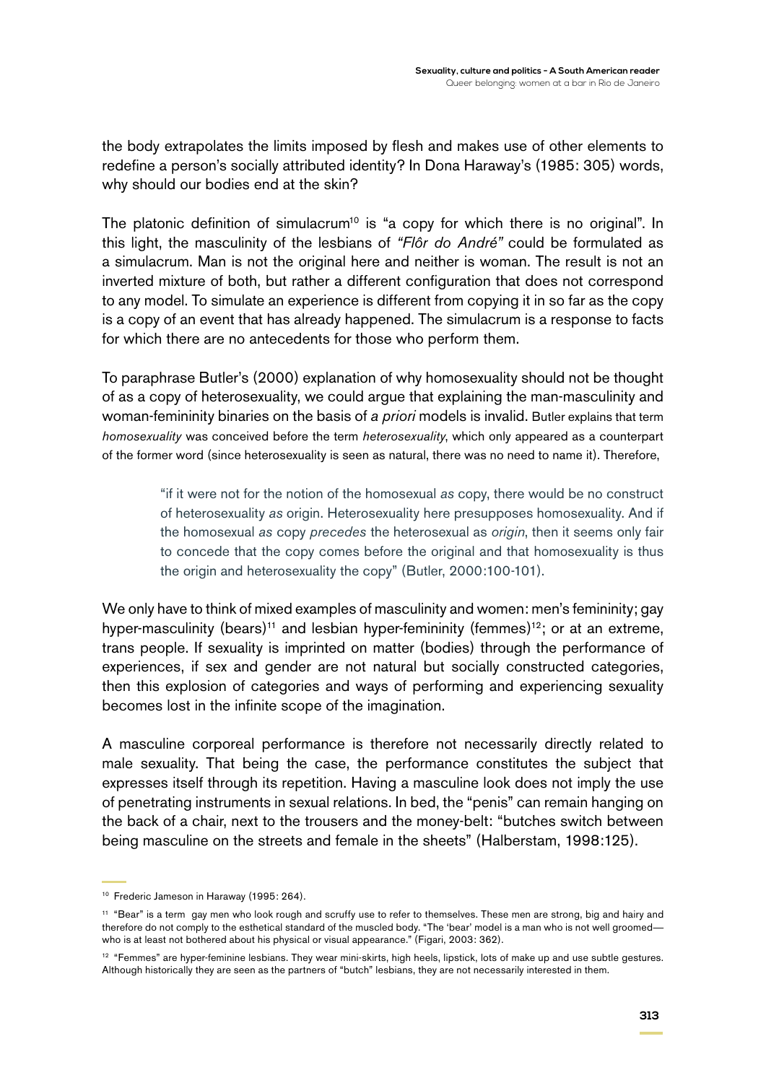the body extrapolates the limits imposed by flesh and makes use of other elements to redefine a person's socially attributed identity? In Dona Haraway's (1985: 305) words, why should our bodies end at the skin?

The platonic definition of simulacrum<sup>10</sup> is "a copy for which there is no original". In this light, the masculinity of the lesbians of *"Flôr do André"* could be formulated as a simulacrum. Man is not the original here and neither is woman. The result is not an inverted mixture of both, but rather a different configuration that does not correspond to any model. To simulate an experience is different from copying it in so far as the copy is a copy of an event that has already happened. The simulacrum is a response to facts for which there are no antecedents for those who perform them.

To paraphrase Butler's (2000) explanation of why homosexuality should not be thought of as a copy of heterosexuality, we could argue that explaining the man-masculinity and woman-femininity binaries on the basis of *a priori* models is invalid. Butler explains that term *homosexuality* was conceived before the term *heterosexuality*, which only appeared as a counterpart of the former word (since heterosexuality is seen as natural, there was no need to name it). Therefore,

> "if it were not for the notion of the homosexual *as* copy, there would be no construct of heterosexuality *as* origin. Heterosexuality here presupposes homosexuality. And if the homosexual *as* copy *precedes* the heterosexual as *origin*, then it seems only fair to concede that the copy comes before the original and that homosexuality is thus the origin and heterosexuality the copy" (Butler, 2000:100-101).

We only have to think of mixed examples of masculinity and women: men's femininity; gay hyper-masculinity (bears)<sup>11</sup> and lesbian hyper-femininity (femmes)<sup>12</sup>; or at an extreme, trans people. If sexuality is imprinted on matter (bodies) through the performance of experiences, if sex and gender are not natural but socially constructed categories, then this explosion of categories and ways of performing and experiencing sexuality becomes lost in the infinite scope of the imagination.

A masculine corporeal performance is therefore not necessarily directly related to male sexuality. That being the case, the performance constitutes the subject that expresses itself through its repetition. Having a masculine look does not imply the use of penetrating instruments in sexual relations. In bed, the "penis" can remain hanging on the back of a chair, next to the trousers and the money-belt: "butches switch between being masculine on the streets and female in the sheets" (Halberstam, 1998:125).

<sup>&</sup>lt;sup>10</sup> Frederic Jameson in Haraway (1995: 264).

<sup>&</sup>lt;sup>11</sup> "Bear" is a term gay men who look rough and scruffy use to refer to themselves. These men are strong, big and hairy and therefore do not comply to the esthetical standard of the muscled body. "The 'bear' model is a man who is not well groomed who is at least not bothered about his physical or visual appearance." (Figari, 2003: 362).

<sup>&</sup>lt;sup>12</sup> "Femmes" are hyper-feminine lesbians. They wear mini-skirts, high heels, lipstick, lots of make up and use subtle gestures. Although historically they are seen as the partners of "butch" lesbians, they are not necessarily interested in them.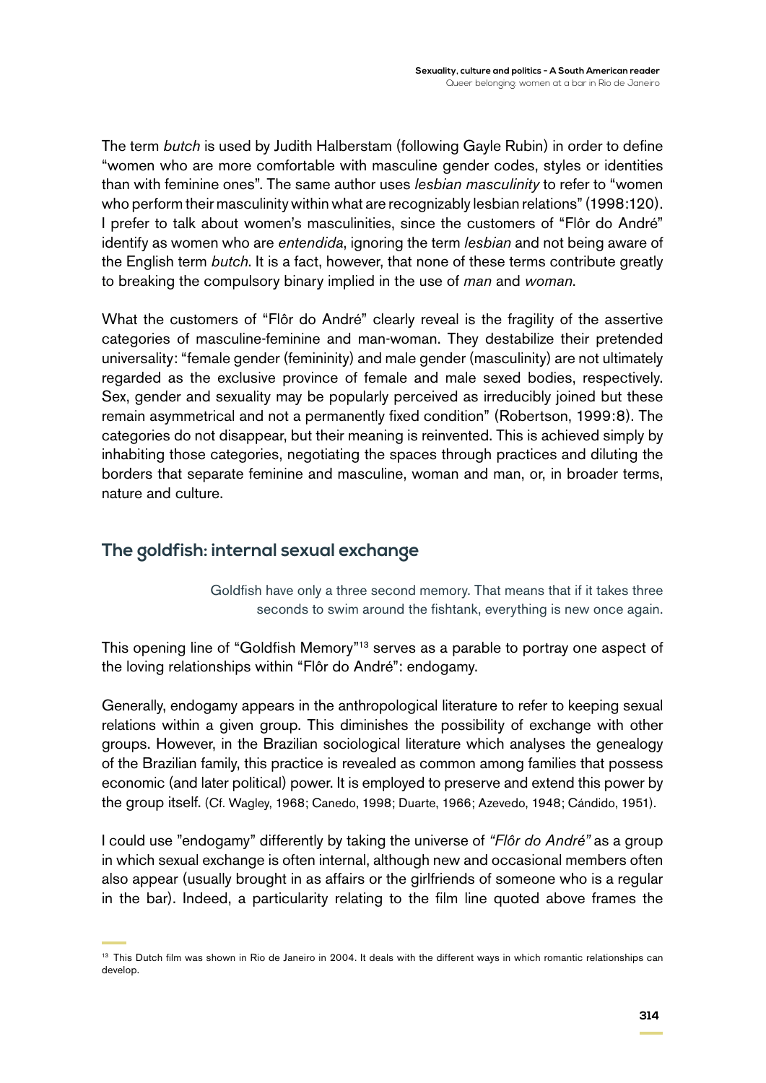The term *butch* is used by Judith Halberstam (following Gayle Rubin) in order to define "women who are more comfortable with masculine gender codes, styles or identities than with feminine ones". The same author uses *lesbian masculinity* to refer to "women who perform their masculinity within what are recognizably lesbian relations" (1998:120). I prefer to talk about women's masculinities, since the customers of "Flôr do André" identify as women who are *entendida*, ignoring the term *lesbian* and not being aware of the English term *butch*. It is a fact, however, that none of these terms contribute greatly to breaking the compulsory binary implied in the use of *man* and *woman*.

What the customers of "Flôr do André" clearly reveal is the fragility of the assertive categories of masculine-feminine and man-woman. They destabilize their pretended universality: "female gender (femininity) and male gender (masculinity) are not ultimately regarded as the exclusive province of female and male sexed bodies, respectively. Sex, gender and sexuality may be popularly perceived as irreducibly joined but these remain asymmetrical and not a permanently fixed condition" (Robertson, 1999:8). The categories do not disappear, but their meaning is reinvented. This is achieved simply by inhabiting those categories, negotiating the spaces through practices and diluting the borders that separate feminine and masculine, woman and man, or, in broader terms, nature and culture.

## **The goldfish: internal sexual exchange**

Goldfish have only a three second memory. That means that if it takes three seconds to swim around the fishtank, everything is new once again.

This opening line of "Goldfish Memory"<sup>13</sup> serves as a parable to portray one aspect of the loving relationships within "Flôr do André": endogamy.

Generally, endogamy appears in the anthropological literature to refer to keeping sexual relations within a given group. This diminishes the possibility of exchange with other groups. However, in the Brazilian sociological literature which analyses the genealogy of the Brazilian family, this practice is revealed as common among families that possess economic (and later political) power. It is employed to preserve and extend this power by the group itself. (Cf. Wagley, 1968; Canedo, 1998; Duarte, 1966; Azevedo, 1948; Cándido, 1951).

I could use "endogamy" differently by taking the universe of *"Flôr do André"* as a group in which sexual exchange is often internal, although new and occasional members often also appear (usually brought in as affairs or the girlfriends of someone who is a regular in the bar). Indeed, a particularity relating to the film line quoted above frames the

<sup>&</sup>lt;sup>13</sup> This Dutch film was shown in Rio de Janeiro in 2004. It deals with the different ways in which romantic relationships can develop.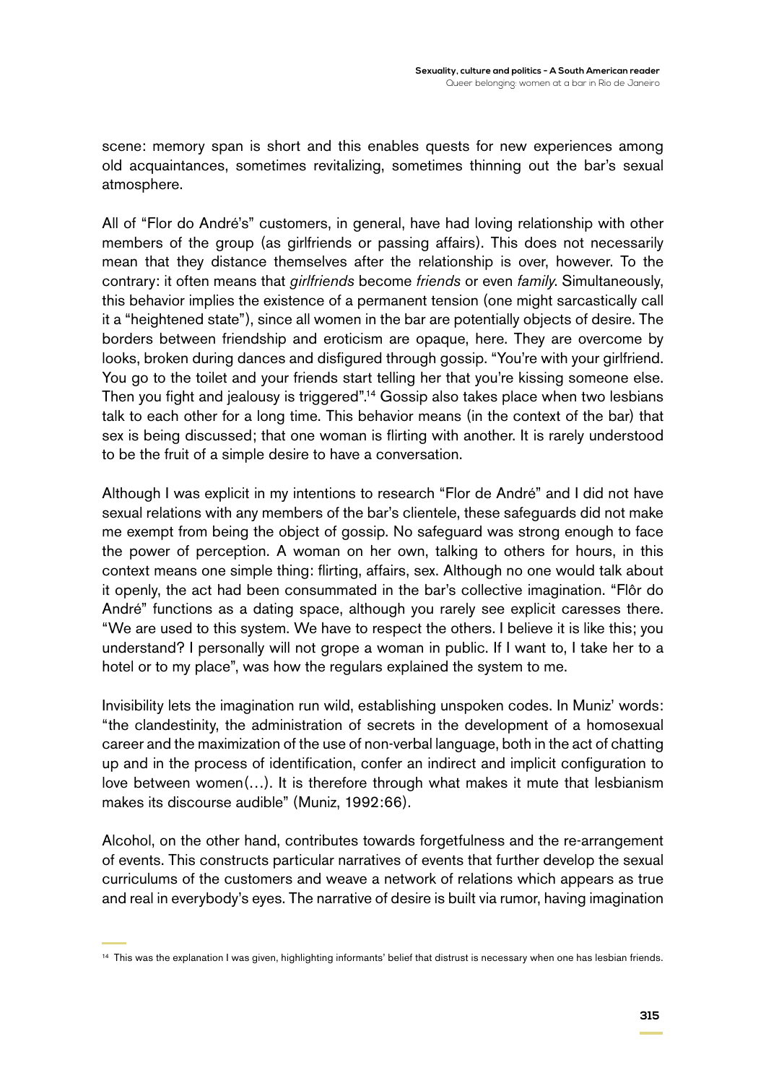scene: memory span is short and this enables quests for new experiences among old acquaintances, sometimes revitalizing, sometimes thinning out the bar's sexual atmosphere.

All of "Flor do André's" customers, in general, have had loving relationship with other members of the group (as girlfriends or passing affairs). This does not necessarily mean that they distance themselves after the relationship is over, however. To the contrary: it often means that *girlfriends* become *friends* or even *family*. Simultaneously, this behavior implies the existence of a permanent tension (one might sarcastically call it a "heightened state"), since all women in the bar are potentially objects of desire. The borders between friendship and eroticism are opaque, here. They are overcome by looks, broken during dances and disfigured through gossip. "You're with your girlfriend. You go to the toilet and your friends start telling her that you're kissing someone else. Then you fight and jealousy is triggered".<sup>14</sup> Gossip also takes place when two lesbians talk to each other for a long time. This behavior means (in the context of the bar) that sex is being discussed; that one woman is flirting with another. It is rarely understood to be the fruit of a simple desire to have a conversation.

Although I was explicit in my intentions to research "Flor de André" and I did not have sexual relations with any members of the bar's clientele, these safeguards did not make me exempt from being the object of gossip. No safeguard was strong enough to face the power of perception. A woman on her own, talking to others for hours, in this context means one simple thing: flirting, affairs, sex. Although no one would talk about it openly, the act had been consummated in the bar's collective imagination. "Flôr do André" functions as a dating space, although you rarely see explicit caresses there. "We are used to this system. We have to respect the others. I believe it is like this; you understand? I personally will not grope a woman in public. If I want to, I take her to a hotel or to my place", was how the regulars explained the system to me.

Invisibility lets the imagination run wild, establishing unspoken codes. In Muniz' words: "the clandestinity, the administration of secrets in the development of a homosexual career and the maximization of the use of non-verbal language, both in the act of chatting up and in the process of identification, confer an indirect and implicit configuration to love between women(…). It is therefore through what makes it mute that lesbianism makes its discourse audible" (Muniz, 1992:66).

Alcohol, on the other hand, contributes towards forgetfulness and the re-arrangement of events. This constructs particular narratives of events that further develop the sexual curriculums of the customers and weave a network of relations which appears as true and real in everybody's eyes. The narrative of desire is built via rumor, having imagination

<sup>14</sup> This was the explanation I was given, highlighting informants' belief that distrust is necessary when one has lesbian friends.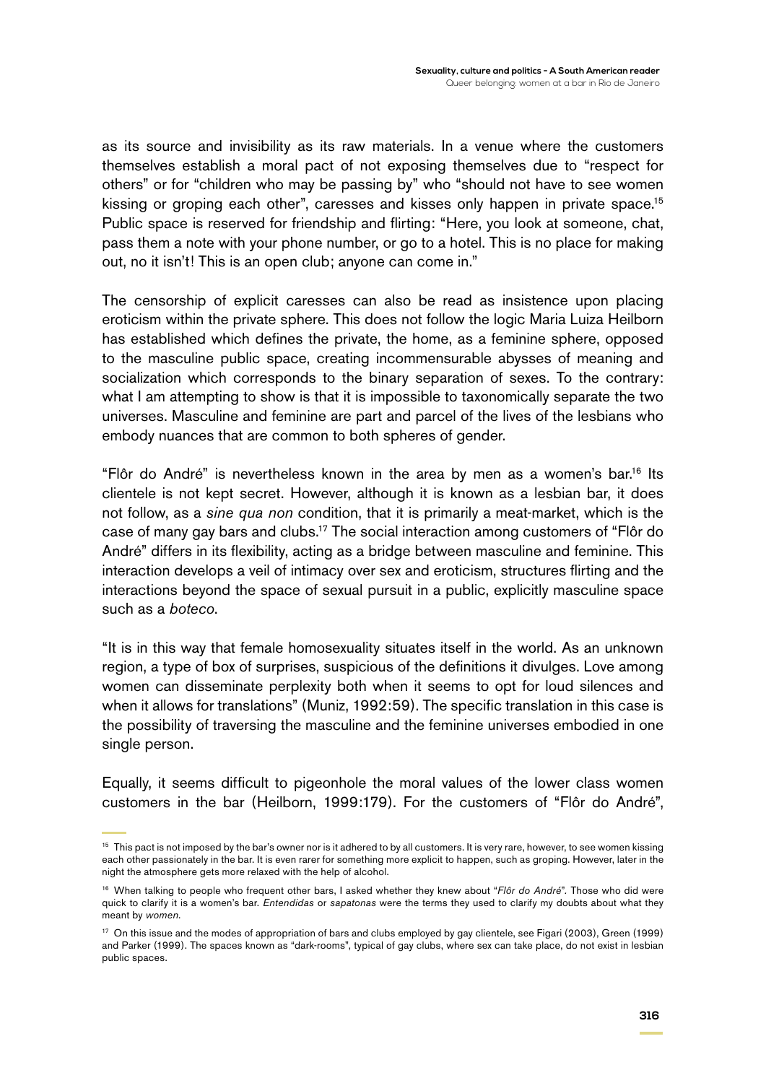as its source and invisibility as its raw materials. In a venue where the customers themselves establish a moral pact of not exposing themselves due to "respect for others" or for "children who may be passing by" who "should not have to see women kissing or groping each other", caresses and kisses only happen in private space.<sup>15</sup> Public space is reserved for friendship and flirting: "Here, you look at someone, chat, pass them a note with your phone number, or go to a hotel. This is no place for making out, no it isn't! This is an open club; anyone can come in."

The censorship of explicit caresses can also be read as insistence upon placing eroticism within the private sphere. This does not follow the logic Maria Luiza Heilborn has established which defines the private, the home, as a feminine sphere, opposed to the masculine public space, creating incommensurable abysses of meaning and socialization which corresponds to the binary separation of sexes. To the contrary: what I am attempting to show is that it is impossible to taxonomically separate the two universes. Masculine and feminine are part and parcel of the lives of the lesbians who embody nuances that are common to both spheres of gender.

"Flôr do André" is nevertheless known in the area by men as a women's bar.16 Its clientele is not kept secret. However, although it is known as a lesbian bar, it does not follow, as a *sine qua non* condition, that it is primarily a meat-market, which is the case of many gay bars and clubs.17 The social interaction among customers of "Flôr do André" differs in its flexibility, acting as a bridge between masculine and feminine. This interaction develops a veil of intimacy over sex and eroticism, structures flirting and the interactions beyond the space of sexual pursuit in a public, explicitly masculine space such as a *boteco*.

"It is in this way that female homosexuality situates itself in the world. As an unknown region, a type of box of surprises, suspicious of the definitions it divulges. Love among women can disseminate perplexity both when it seems to opt for loud silences and when it allows for translations" (Muniz, 1992:59). The specific translation in this case is the possibility of traversing the masculine and the feminine universes embodied in one single person.

Equally, it seems difficult to pigeonhole the moral values of the lower class women customers in the bar (Heilborn, 1999:179). For the customers of "Flôr do André",

<sup>&</sup>lt;sup>15</sup> This pact is not imposed by the bar's owner nor is it adhered to by all customers. It is very rare, however, to see women kissing each other passionately in the bar. It is even rarer for something more explicit to happen, such as groping. However, later in the night the atmosphere gets more relaxed with the help of alcohol.

<sup>16</sup> When talking to people who frequent other bars, I asked whether they knew about "*Flôr do André*"*.* Those who did were quick to clarify it is a women's bar. *Entendidas* or *sapatonas* were the terms they used to clarify my doubts about what they meant by *women*.

<sup>17</sup> On this issue and the modes of appropriation of bars and clubs employed by gay clientele, see Figari (2003), Green (1999) and Parker (1999). The spaces known as "dark-rooms", typical of gay clubs, where sex can take place, do not exist in lesbian public spaces.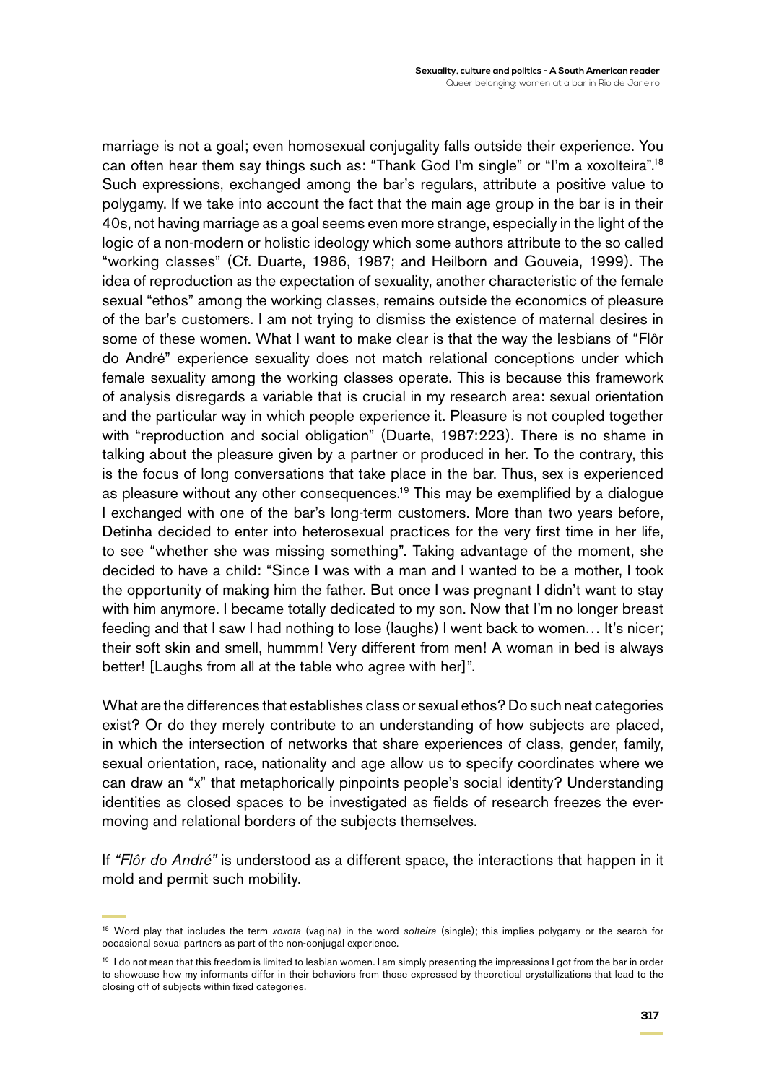marriage is not a goal; even homosexual conjugality falls outside their experience. You can often hear them say things such as: "Thank God I'm single" or "I'm a xoxolteira".18 Such expressions, exchanged among the bar's regulars, attribute a positive value to polygamy. If we take into account the fact that the main age group in the bar is in their 40s, not having marriage as a goal seems even more strange, especially in the light of the logic of a non-modern or holistic ideology which some authors attribute to the so called "working classes" (Cf. Duarte, 1986, 1987; and Heilborn and Gouveia, 1999). The idea of reproduction as the expectation of sexuality, another characteristic of the female sexual "ethos" among the working classes, remains outside the economics of pleasure of the bar's customers. I am not trying to dismiss the existence of maternal desires in some of these women. What I want to make clear is that the way the lesbians of "Flôr do André" experience sexuality does not match relational conceptions under which female sexuality among the working classes operate. This is because this framework of analysis disregards a variable that is crucial in my research area: sexual orientation and the particular way in which people experience it. Pleasure is not coupled together with "reproduction and social obligation" (Duarte, 1987:223). There is no shame in talking about the pleasure given by a partner or produced in her. To the contrary, this is the focus of long conversations that take place in the bar. Thus, sex is experienced as pleasure without any other consequences.<sup>19</sup> This may be exemplified by a dialogue I exchanged with one of the bar's long-term customers. More than two years before, Detinha decided to enter into heterosexual practices for the very first time in her life, to see "whether she was missing something". Taking advantage of the moment, she decided to have a child: "Since I was with a man and I wanted to be a mother, I took the opportunity of making him the father. But once I was pregnant I didn't want to stay with him anymore. I became totally dedicated to my son. Now that I'm no longer breast feeding and that I saw I had nothing to lose (laughs) I went back to women… It's nicer; their soft skin and smell, hummm! Very different from men! A woman in bed is always better! [Laughs from all at the table who agree with her]".

What are the differences that establishes class or sexual ethos? Do such neat categories exist? Or do they merely contribute to an understanding of how subjects are placed, in which the intersection of networks that share experiences of class, gender, family, sexual orientation, race, nationality and age allow us to specify coordinates where we can draw an "x" that metaphorically pinpoints people's social identity? Understanding identities as closed spaces to be investigated as fields of research freezes the evermoving and relational borders of the subjects themselves.

If *"Flôr do André"* is understood as a different space, the interactions that happen in it mold and permit such mobility.

<sup>18</sup> Word play that includes the term *xoxota* (vagina) in the word *solteira* (single); this implies polygamy or the search for occasional sexual partners as part of the non-conjugal experience.

<sup>&</sup>lt;sup>19</sup> I do not mean that this freedom is limited to lesbian women. I am simply presenting the impressions I got from the bar in order to showcase how my informants differ in their behaviors from those expressed by theoretical crystallizations that lead to the closing off of subjects within fixed categories.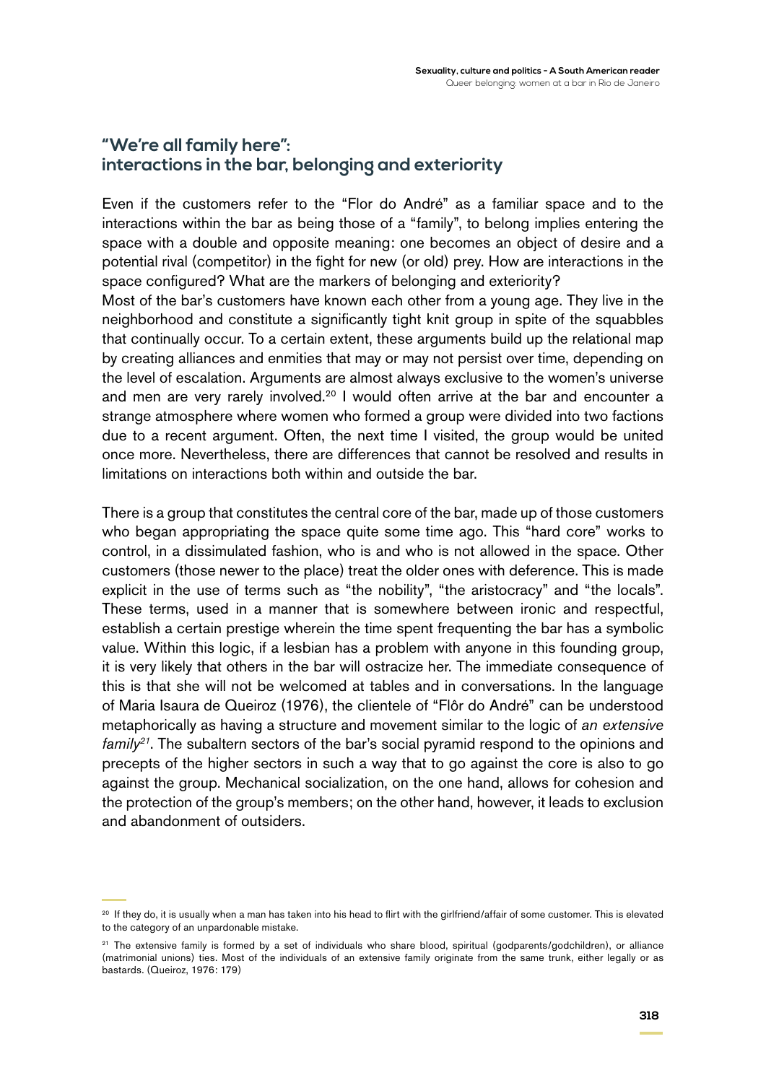# **"We're all family here": interactions in the bar, belonging and exteriority**

Even if the customers refer to the "Flor do André" as a familiar space and to the interactions within the bar as being those of a "family", to belong implies entering the space with a double and opposite meaning: one becomes an object of desire and a potential rival (competitor) in the fight for new (or old) prey. How are interactions in the space configured? What are the markers of belonging and exteriority?

Most of the bar's customers have known each other from a young age. They live in the neighborhood and constitute a significantly tight knit group in spite of the squabbles that continually occur. To a certain extent, these arguments build up the relational map by creating alliances and enmities that may or may not persist over time, depending on the level of escalation. Arguments are almost always exclusive to the women's universe and men are very rarely involved.<sup>20</sup> I would often arrive at the bar and encounter a strange atmosphere where women who formed a group were divided into two factions due to a recent argument. Often, the next time I visited, the group would be united once more. Nevertheless, there are differences that cannot be resolved and results in limitations on interactions both within and outside the bar.

There is a group that constitutes the central core of the bar, made up of those customers who began appropriating the space quite some time ago. This "hard core" works to control, in a dissimulated fashion, who is and who is not allowed in the space. Other customers (those newer to the place) treat the older ones with deference. This is made explicit in the use of terms such as "the nobility", "the aristocracy" and "the locals". These terms, used in a manner that is somewhere between ironic and respectful, establish a certain prestige wherein the time spent frequenting the bar has a symbolic value. Within this logic, if a lesbian has a problem with anyone in this founding group, it is very likely that others in the bar will ostracize her. The immediate consequence of this is that she will not be welcomed at tables and in conversations. In the language of Maria Isaura de Queiroz (1976), the clientele of "Flôr do André" can be understood metaphorically as having a structure and movement similar to the logic of *an extensive family*<sup>21</sup>. The subaltern sectors of the bar's social pyramid respond to the opinions and precepts of the higher sectors in such a way that to go against the core is also to go against the group. Mechanical socialization, on the one hand, allows for cohesion and the protection of the group's members; on the other hand, however, it leads to exclusion and abandonment of outsiders.

<sup>&</sup>lt;sup>20</sup> If they do, it is usually when a man has taken into his head to flirt with the girlfriend/affair of some customer. This is elevated to the category of an unpardonable mistake.

<sup>&</sup>lt;sup>21</sup> The extensive family is formed by a set of individuals who share blood, spiritual (godparents/godchildren), or alliance (matrimonial unions) ties. Most of the individuals of an extensive family originate from the same trunk, either legally or as bastards. (Queiroz, 1976: 179)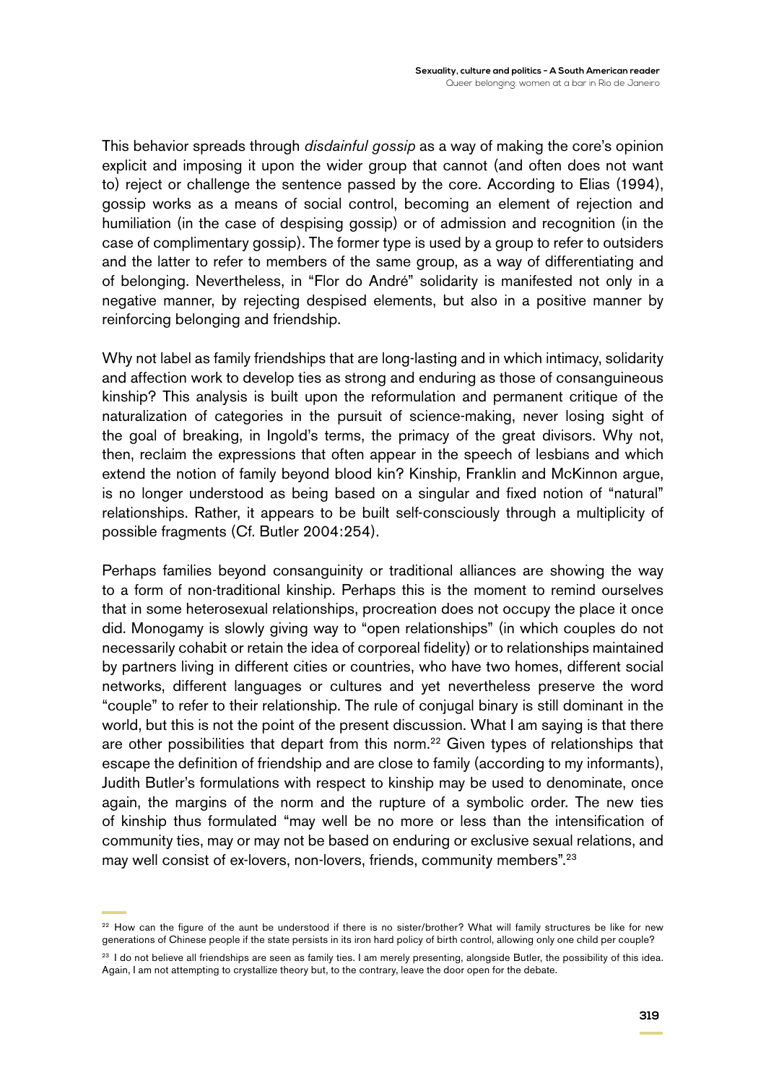This behavior spreads through *disdainful gossip* as a way of making the core's opinion explicit and imposing it upon the wider group that cannot (and often does not want to) reject or challenge the sentence passed by the core. According to Elias (1994), gossip works as a means of social control, becoming an element of rejection and humiliation (in the case of despising gossip) or of admission and recognition (in the case of complimentary gossip). The former type is used by a group to refer to outsiders and the latter to refer to members of the same group, as a way of differentiating and of belonging. Nevertheless, in "Flor do André" solidarity is manifested not only in a negative manner, by rejecting despised elements, but also in a positive manner by reinforcing belonging and friendship.

Why not label as family friendships that are long-lasting and in which intimacy, solidarity and affection work to develop ties as strong and enduring as those of consanguineous kinship? This analysis is built upon the reformulation and permanent critique of the naturalization of categories in the pursuit of science-making, never losing sight of the goal of breaking, in Ingold's terms, the primacy of the great divisors. Why not, then, reclaim the expressions that often appear in the speech of lesbians and which extend the notion of family beyond blood kin? Kinship, Franklin and McKinnon argue, is no longer understood as being based on a singular and fixed notion of "natural" relationships. Rather, it appears to be built self-consciously through a multiplicity of possible fragments (Cf. Butler 2004:254).

Perhaps families beyond consanguinity or traditional alliances are showing the way to a form of non-traditional kinship. Perhaps this is the moment to remind ourselves that in some heterosexual relationships, procreation does not occupy the place it once did. Monogamy is slowly giving way to "open relationships" (in which couples do not necessarily cohabit or retain the idea of corporeal fidelity) or to relationships maintained by partners living in different cities or countries, who have two homes, different social networks, different languages or cultures and yet nevertheless preserve the word "couple" to refer to their relationship. The rule of conjugal binary is still dominant in the world, but this is not the point of the present discussion. What I am saying is that there are other possibilities that depart from this norm.<sup>22</sup> Given types of relationships that escape the definition of friendship and are close to family (according to my informants), Judith Butler's formulations with respect to kinship may be used to denominate, once again, the margins of the norm and the rupture of a symbolic order. The new ties of kinship thus formulated "may well be no more or less than the intensification of community ties, may or may not be based on enduring or exclusive sexual relations, and may well consist of ex-lovers, non-lovers, friends, community members".23

<sup>&</sup>lt;sup>22</sup> How can the figure of the aunt be understood if there is no sister/brother? What will family structures be like for new generations of Chinese people if the state persists in its iron hard policy of birth control, allowing only one child per couple?

<sup>&</sup>lt;sup>23</sup> I do not believe all friendships are seen as family ties. I am merely presenting, alongside Butler, the possibility of this idea. Again, I am not attempting to crystallize theory but, to the contrary, leave the door open for the debate.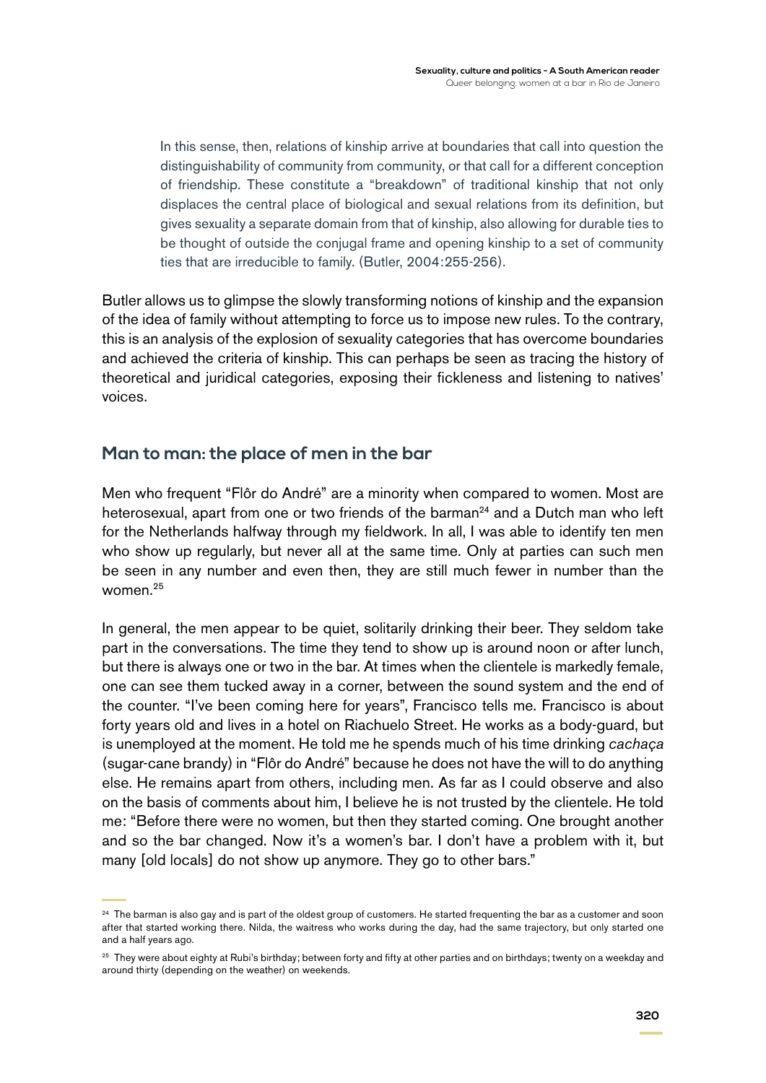In this sense, then, relations of kinship arrive at boundaries that call into question the distinguishability of community from community, or that call for a different conception of friendship. These constitute a "breakdown" of traditional kinship that not only displaces the central place of biological and sexual relations from its definition, but gives sexuality a separate domain from that of kinship, also allowing for durable ties to be thought of outside the conjugal frame and opening kinship to a set of community ties that are irreducible to family. (Butler, 2004:255-256).

Butler allows us to glimpse the slowly transforming notions of kinship and the expansion of the idea of family without attempting to force us to impose new rules. To the contrary, this is an analysis of the explosion of sexuality categories that has overcome boundaries and achieved the criteria of kinship. This can perhaps be seen as tracing the history of theoretical and juridical categories, exposing their fickleness and listening to natives' voices.

### **Man to man: the place of men in the bar**

Men who frequent "Flôr do André" are a minority when compared to women. Most are heterosexual, apart from one or two friends of the barman<sup>24</sup> and a Dutch man who left for the Netherlands halfway through my fieldwork. In all, I was able to identify ten men who show up regularly, but never all at the same time. Only at parties can such men be seen in any number and even then, they are still much fewer in number than the women.25

In general, the men appear to be quiet, solitarily drinking their beer. They seldom take part in the conversations. The time they tend to show up is around noon or after lunch, but there is always one or two in the bar. At times when the clientele is markedly female, one can see them tucked away in a corner, between the sound system and the end of the counter. "I've been coming here for years", Francisco tells me. Francisco is about forty years old and lives in a hotel on Riachuelo Street. He works as a body-guard, but is unemployed at the moment. He told me he spends much of his time drinking *cachaça*  (sugar-cane brandy) in "Flôr do André" because he does not have the will to do anything else. He remains apart from others, including men. As far as I could observe and also on the basis of comments about him, I believe he is not trusted by the clientele. He told me: "Before there were no women, but then they started coming. One brought another and so the bar changed. Now it's a women's bar. I don't have a problem with it, but many [old locals] do not show up anymore. They go to other bars."

<sup>&</sup>lt;sup>24</sup> The barman is also gay and is part of the oldest group of customers. He started frequenting the bar as a customer and soon after that started working there. Nilda, the waitress who works during the day, had the same trajectory, but only started one and a half years ago.

<sup>&</sup>lt;sup>25</sup> They were about eighty at Rubi's birthday; between forty and fifty at other parties and on birthdays; twenty on a weekday and around thirty (depending on the weather) on weekends.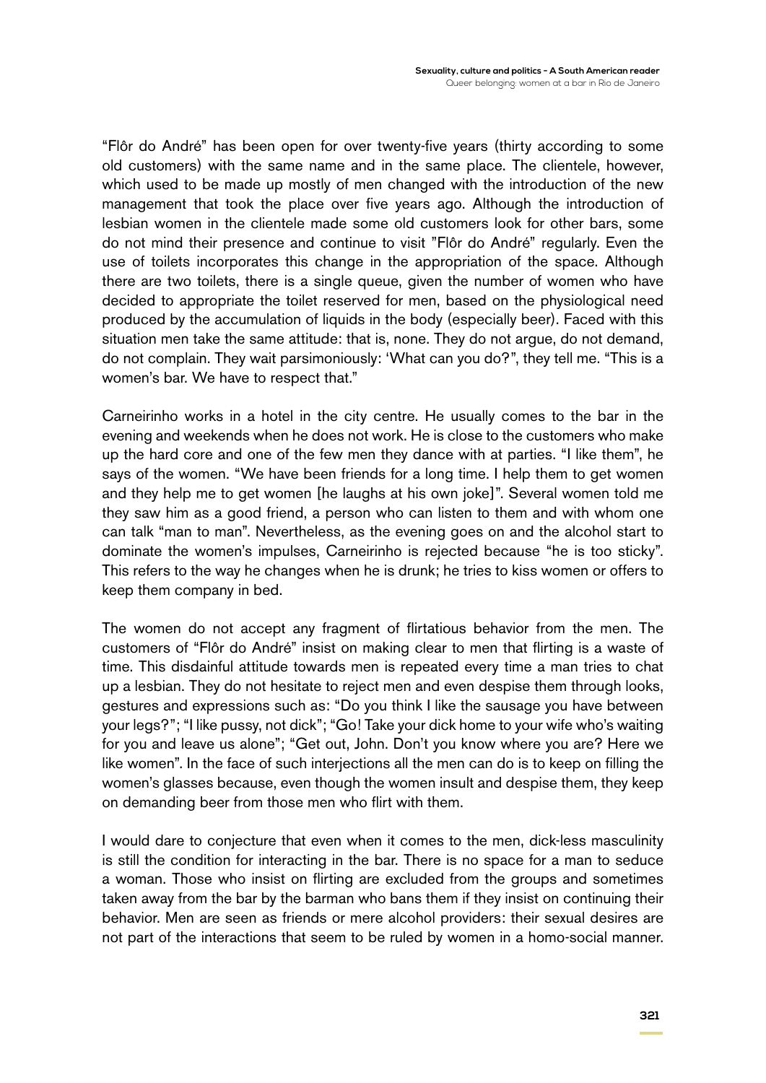"Flôr do André" has been open for over twenty-five years (thirty according to some old customers) with the same name and in the same place. The clientele, however, which used to be made up mostly of men changed with the introduction of the new management that took the place over five years ago. Although the introduction of lesbian women in the clientele made some old customers look for other bars, some do not mind their presence and continue to visit "Flôr do André" regularly. Even the use of toilets incorporates this change in the appropriation of the space. Although there are two toilets, there is a single queue, given the number of women who have decided to appropriate the toilet reserved for men, based on the physiological need produced by the accumulation of liquids in the body (especially beer). Faced with this situation men take the same attitude: that is, none. They do not argue, do not demand, do not complain. They wait parsimoniously: 'What can you do?", they tell me. "This is a women's bar. We have to respect that."

Carneirinho works in a hotel in the city centre. He usually comes to the bar in the evening and weekends when he does not work. He is close to the customers who make up the hard core and one of the few men they dance with at parties. "I like them", he says of the women. "We have been friends for a long time. I help them to get women and they help me to get women [he laughs at his own joke]". Several women told me they saw him as a good friend, a person who can listen to them and with whom one can talk "man to man". Nevertheless, as the evening goes on and the alcohol start to dominate the women's impulses, Carneirinho is rejected because "he is too sticky". This refers to the way he changes when he is drunk; he tries to kiss women or offers to keep them company in bed.

The women do not accept any fragment of flirtatious behavior from the men. The customers of "Flôr do André" insist on making clear to men that flirting is a waste of time. This disdainful attitude towards men is repeated every time a man tries to chat up a lesbian. They do not hesitate to reject men and even despise them through looks, gestures and expressions such as: "Do you think I like the sausage you have between your legs?"; "I like pussy, not dick"; "Go! Take your dick home to your wife who's waiting for you and leave us alone"; "Get out, John. Don't you know where you are? Here we like women". In the face of such interjections all the men can do is to keep on filling the women's glasses because, even though the women insult and despise them, they keep on demanding beer from those men who flirt with them.

I would dare to conjecture that even when it comes to the men, dick-less masculinity is still the condition for interacting in the bar. There is no space for a man to seduce a woman. Those who insist on flirting are excluded from the groups and sometimes taken away from the bar by the barman who bans them if they insist on continuing their behavior. Men are seen as friends or mere alcohol providers: their sexual desires are not part of the interactions that seem to be ruled by women in a homo-social manner.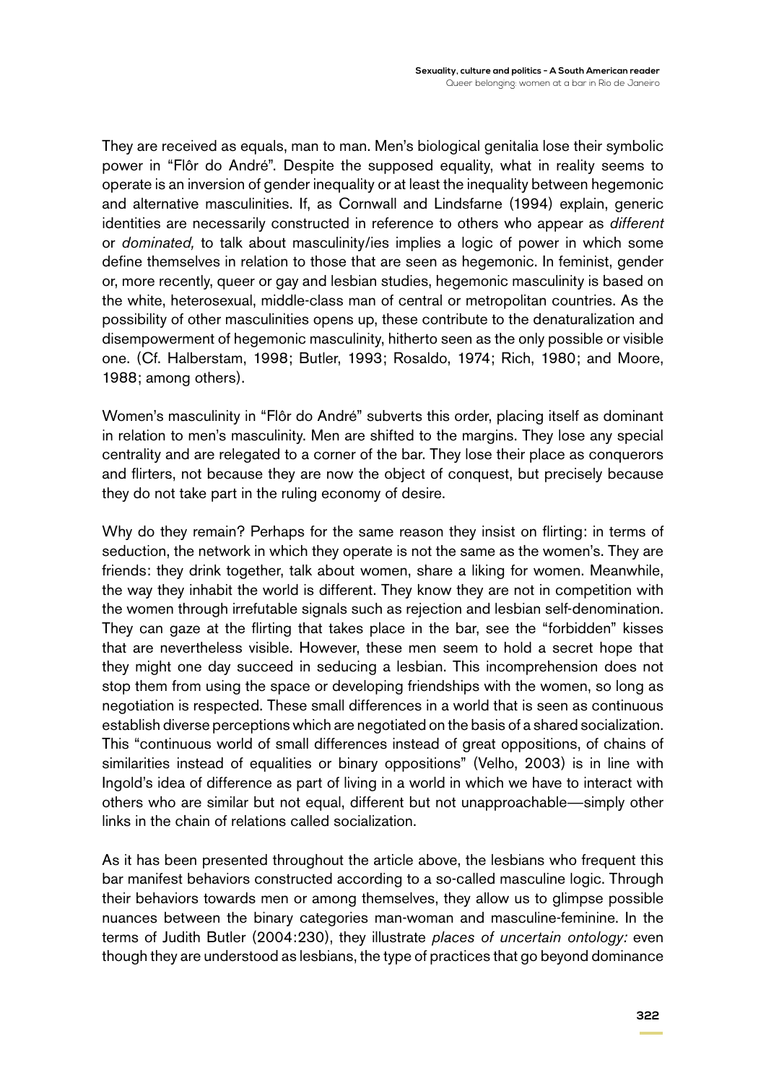They are received as equals, man to man. Men's biological genitalia lose their symbolic power in "Flôr do André". Despite the supposed equality, what in reality seems to operate is an inversion of gender inequality or at least the inequality between hegemonic and alternative masculinities. If, as Cornwall and Lindsfarne (1994) explain, generic identities are necessarily constructed in reference to others who appear as *different*  or *dominated,* to talk about masculinity/ies implies a logic of power in which some define themselves in relation to those that are seen as hegemonic. In feminist, gender or, more recently, queer or gay and lesbian studies, hegemonic masculinity is based on the white, heterosexual, middle-class man of central or metropolitan countries. As the possibility of other masculinities opens up, these contribute to the denaturalization and disempowerment of hegemonic masculinity, hitherto seen as the only possible or visible one. (Cf. Halberstam, 1998; Butler, 1993; Rosaldo, 1974; Rich, 1980; and Moore, 1988; among others).

Women's masculinity in "Flôr do André" subverts this order, placing itself as dominant in relation to men's masculinity. Men are shifted to the margins. They lose any special centrality and are relegated to a corner of the bar. They lose their place as conquerors and flirters, not because they are now the object of conquest, but precisely because they do not take part in the ruling economy of desire.

Why do they remain? Perhaps for the same reason they insist on flirting: in terms of seduction, the network in which they operate is not the same as the women's. They are friends: they drink together, talk about women, share a liking for women. Meanwhile, the way they inhabit the world is different. They know they are not in competition with the women through irrefutable signals such as rejection and lesbian self-denomination. They can gaze at the flirting that takes place in the bar, see the "forbidden" kisses that are nevertheless visible. However, these men seem to hold a secret hope that they might one day succeed in seducing a lesbian. This incomprehension does not stop them from using the space or developing friendships with the women, so long as negotiation is respected. These small differences in a world that is seen as continuous establish diverse perceptions which are negotiated on the basis of a shared socialization. This "continuous world of small differences instead of great oppositions, of chains of similarities instead of equalities or binary oppositions" (Velho, 2003) is in line with Ingold's idea of difference as part of living in a world in which we have to interact with others who are similar but not equal, different but not unapproachable—simply other links in the chain of relations called socialization.

As it has been presented throughout the article above, the lesbians who frequent this bar manifest behaviors constructed according to a so-called masculine logic. Through their behaviors towards men or among themselves, they allow us to glimpse possible nuances between the binary categories man-woman and masculine-feminine. In the terms of Judith Butler (2004:230), they illustrate *places of uncertain ontology:* even though they are understood as lesbians, the type of practices that go beyond dominance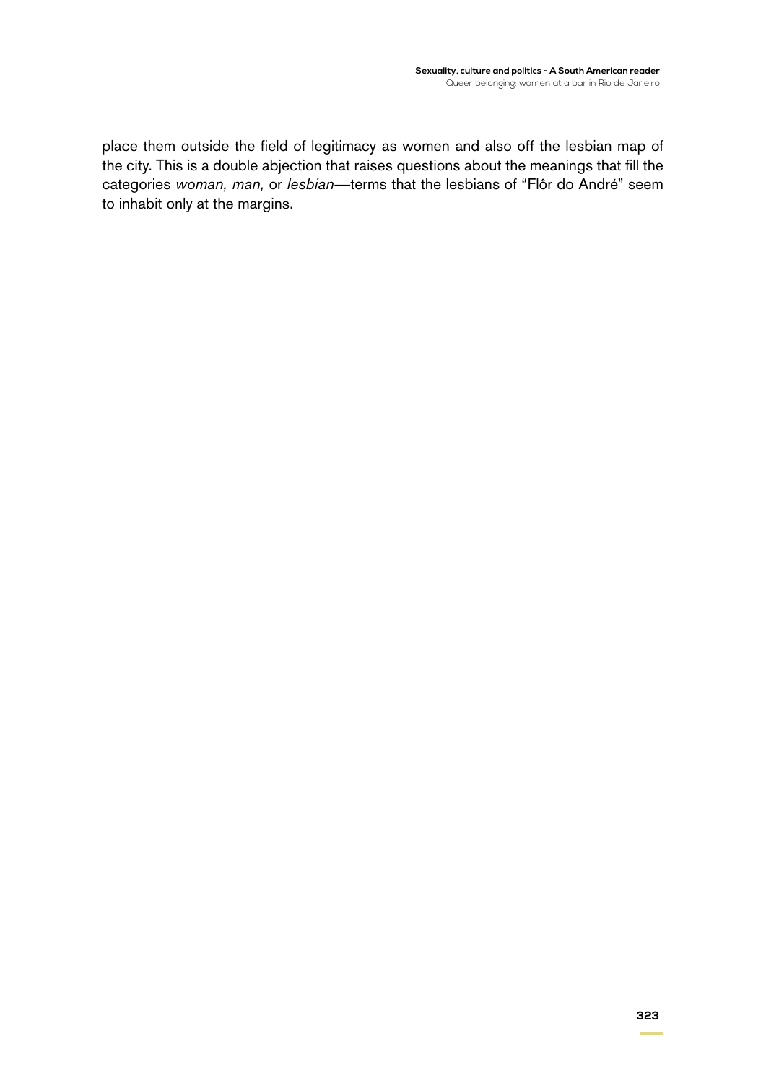place them outside the field of legitimacy as women and also off the lesbian map of the city. This is a double abjection that raises questions about the meanings that fill the categories *woman, man,* or *lesbian*—terms that the lesbians of "Flôr do André" seem to inhabit only at the margins.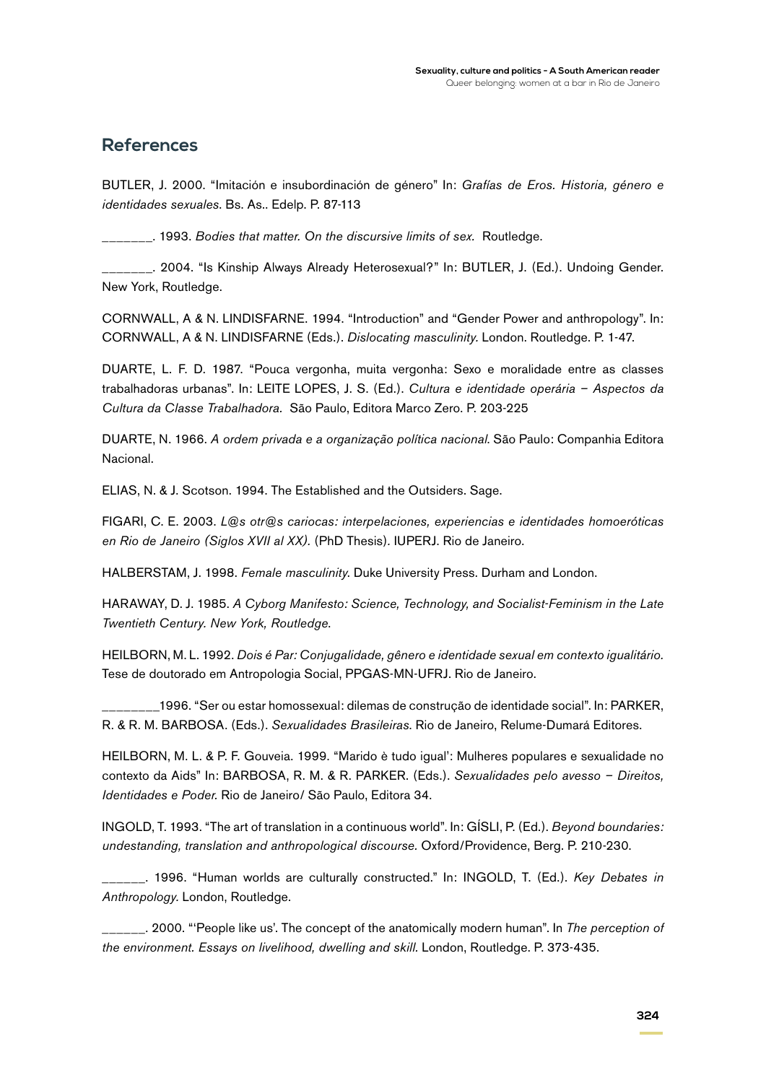#### **References**

Butler, J. 2000. "Imitación e insubordinación de género" In: *Grafías de Eros. Historia, género e identidades sexuales*. Bs. As.. Edelp. P. 87-113

\_\_\_\_\_\_\_. 1993. *Bodies that matter. On the discursive limits of sex.* Routledge.

\_\_. 2004. "Is Kinship Always Already Heterosexual?" In: BUTLER, J. (Ed.). Undoing Gender. New York, Routledge.

CORNWALL, A & N. LINDISFARNE. 1994. "Introduction" and "Gender Power and anthropology". In: Cornwall, A & N. Lindisfarne (Eds.). *Dislocating masculinity.* London. Routledge. P. 1-47.

DUARTE, L. F. D. 1987. "Pouca vergonha, muita vergonha: Sexo e moralidade entre as classes trabalhadoras urbanas". In: LEITE LOPES, J. S. (Ed.). *Cultura e identidade operária - Aspectos da Cultura da Classe Trabalhadora.* São Paulo, Editora Marco Zero. P. 203-225

Duarte, N. 1966. *A ordem privada e a organização política nacional*. São Paulo: Companhia Editora Nacional.

Elias, N. & J. Scotson. 1994. The Established and the Outsiders. Sage.

Figari, C. E. 2003. *L@s otr@s cariocas: interpelaciones, experiencias e identidades homoeróticas en Rio de Janeiro (Siglos XVII al XX).* (PhD Thesis)*.* IUPERJ. Rio de Janeiro.

HALBERSTAM, J. 1998. *Female masculinity*. Duke University Press. Durham and London.

Haraway, D. J. 1985. *A Cyborg Manifesto: Science, Technology, and Socialist-Feminism in the Late Twentieth Century. New York, Routledge*.

Heilborn, M. L. 1992. *Dois é Par: Conjugalidade, gênero e identidade sexual em contexto igualitário.*  Tese de doutorado em Antropologia Social, PPGAS-MN-UFRJ. Rio de Janeiro.

\_\_\_\_\_\_\_\_1996. "Ser ou estar homossexual: dilemas de construção de identidade social". In: Parker, R. & R. M. Barbosa. (Eds.). *Sexualidades Brasileiras*. Rio de Janeiro, Relume-Dumará Editores.

Heilborn, M. L. & P. F. Gouveia. 1999. "Marido è tudo igual': Mulheres populares e sexualidade no contexto da Aids" In: BARBOSA, R. M. & R. PARKER. (Eds.). *Sexualidades pelo avesso - Direitos*, *Identidades e Poder.* Rio de Janeiro/ São Paulo, Editora 34.

Ingold, T. 1993. "The art of translation in a continuous world". In: Gísli, P. (Ed.). *Beyond boundaries: undestanding, translation and anthropological discourse.* Oxford/Providence, Berg. P. 210-230.

\_\_\_\_\_\_. 1996. "Human worlds are culturally constructed." In: Ingold, T. (Ed.). *Key Debates in Anthropology.* London, Routledge.

\_\_\_\_\_\_. 2000. "'People like us'. The concept of the anatomically modern human". In *The perception of the environment. Essays on livelihood, dwelling and skill.* London, Routledge. P. 373-435.